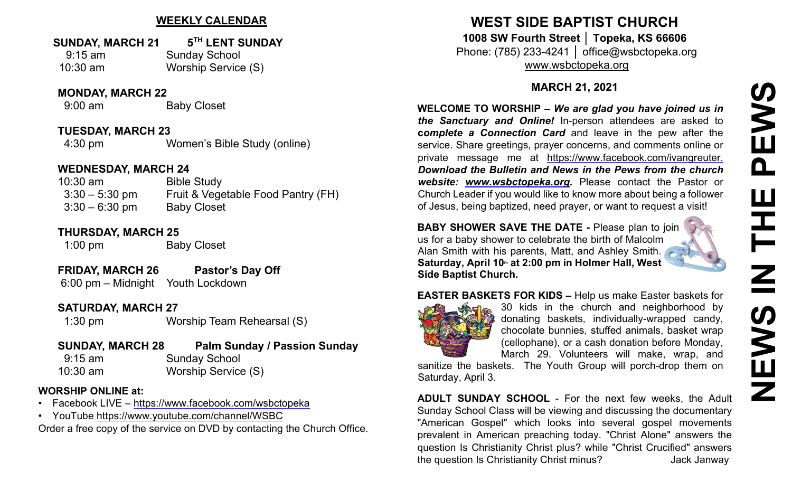# **WEEKLY CALENDAR**

### **SUNDAY, MARCH 21 5TH LENT SUNDAY**

9:15 am Sunday School 10:30 am Worship Service (S)

**MONDAY, MARCH 22**

9:00 am Baby Closet

**TUESDAY, MARCH 23** 4:30 pm Women's Bible Study (online)

### **WEDNESDAY, MARCH 24**

10:30 am Bible Study 3:30 – 5:30 pm Fruit & Vegetable Food Pantry (FH) 3:30 – 6:30 pm Baby Closet

# **THURSDAY, MARCH 25**

1:00 pm Baby Closet

- **FRIDAY, MARCH 26 Pastor's Day Off**
- 6:00 pm Midnight Youth Lockdown

# **SATURDAY, MARCH 27**

1:30 pm Worship Team Rehearsal (S)

### **SUNDAY, MARCH 28 Palm Sunday / Passion Sunday**  9:15 am Sunday School 10:30 am Worship Service (S)

### **WORSHIP ONLINE at:**

- Facebook LIVE [–](https://www.facebook.com/wsbctopeka) <https://www.facebook.com/wsbctopeka>
- YouTub[e](https://www.youtube.com/channel/WSBC) <https://www.youtube.com/channel/WSBC>

Order a free copy of the service on DVD by contacting the Church Office.

# **WEST SIDE BAPTIST CHURCH 1008 SW Fourth Street │ Topeka, KS 66606**

Phone: (785) 233-4241 │ office@wsbctopeka.org [www.wsbctopeka.org](http://www.wsbctopeka.org/)

# **MARCH 21, 2021**

**WELCOME TO WORSHIP –** *We are glad you have joined us in the Sanctuary and Online!* In-person attendees are asked to **c***omplete a Connection Card* and leave in the pew after the service. Share greetings, prayer concerns, and comments online or private message me at <https://www.facebook.com/ivangreuter.> *Download the Bulletin and News in the Pews from the church website: [www.wsbctopeka.org.](http://www.wsbctopeka.org/)* Please contact the Pastor or Church Leader if you would like to know more about being a follower of Jesus, being baptized, need prayer, or want to request a visit!

**BABY SHOWER SAVE THE DATE -** Please plan to join us for a baby shower to celebrate the birth of Malcolm Alan Smith with his parents, Matt, and Ashley Smith. **Saturday, April 10th at 2:00 pm in Holmer Hall, West Side Baptist Church.** 

# **EASTER BASKETS FOR KIDS –** Help us make Easter baskets for



30 kids in the church and neighborhood by donating baskets, individually-wrapped candy, chocolate bunnies, stuffed animals, basket wrap (cellophane), or a cash donation before Monday, March 29. Volunteers will make, wrap, and

sanitize the baskets. The Youth Group will porch-drop them on Saturday, April 3.

**ADULT SUNDAY SCHOOL** - For the next few weeks, the Adult Sunday School Class will be viewing and discussing the documentary "American Gospel" which looks into several gospel movements prevalent in American preaching today. "Christ Alone" answers the question Is Christianity Christ plus? while "Christ Crucified" answers the question Is Christianity Christ minus? Jack Janway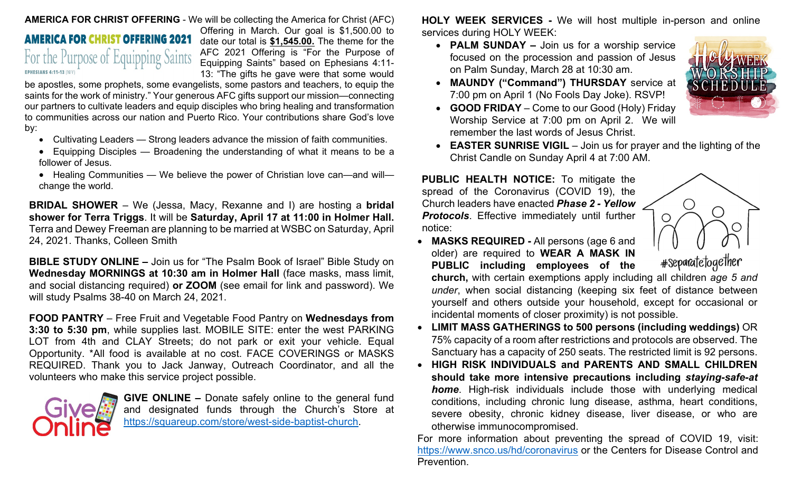#### **AMERICA FOR CHRIST OFFERING** - We will be collecting the America for Christ (AFC)

# **AMERICA FOR CHRIST OFFERING 2021** For the Purpose of Equipping Saints **EPHESIANS 4:11-13 (NIV)**

Offering in March. Our goal is \$1,500.00 to date our total is **\$1,545.00.** The theme for the AFC 2021 Offering is "For the Purpose of Equipping Saints" based on Ephesians 4:11- 13: "The gifts he gave were that some would

be apostles, some prophets, some evangelists, some pastors and teachers, to equip the saints for the work of ministry." Your generous AFC gifts support our mission—connecting our partners to cultivate leaders and equip disciples who bring healing and transformation to communities across our nation and Puerto Rico. Your contributions share God's love by:

- Cultivating Leaders Strong leaders advance the mission of faith communities.
- Equipping Disciples Broadening the understanding of what it means to be a follower of Jesus.
- Healing Communities We believe the power of Christian love can—and will change the world.

**BRIDAL SHOWER** – We (Jessa, Macy, Rexanne and I) are hosting a **bridal shower for Terra Triggs**. It will be **Saturday, April 17 at 11:00 in Holmer Hall.**  Terra and Dewey Freeman are planning to be married at WSBC on Saturday, April 24, 2021. Thanks, Colleen Smith

**BIBLE STUDY ONLINE –** Join us for "The Psalm Book of Israel" Bible Study on **Wednesday MORNINGS at 10:30 am in Holmer Hall** (face masks, mass limit, and social distancing required) **or ZOOM** (see email for link and password). We will study Psalms 38-40 on March 24, 2021.

**FOOD PANTRY** – Free Fruit and Vegetable Food Pantry on **Wednesdays from 3:30 to 5:30 pm**, while supplies last. MOBILE SITE: enter the west PARKING LOT from 4th and CLAY Streets; do not park or exit your vehicle. Equal Opportunity. \*All food is available at no cost. FACE COVERINGS or MASKS REQUIRED. Thank you to Jack Janway, Outreach Coordinator, and all the volunteers who make this service project possible.



**GIVE ONLINE –** Donate safely online to the general fund and designated funds through the Church's Store at [https://squareup.com/store/west-side-baptist-church.](https://squareup.com/store/west-side-baptist-church)

**HOLY WEEK SERVICES -** We will host multiple in-person and online services during HOLY WEEK:

• **PALM SUNDAY –** Join us for a worship service focused on the procession and passion of Jesus on Palm Sunday, March 28 at 10:30 am.



- **MAUNDY ("Command") THURSDAY** service at 7:00 pm on April 1 (No Fools Day Joke). RSVP!
- **GOOD FRIDAY**  Come to our Good (Holy) Friday Worship Service at 7:00 pm on April 2. We will remember the last words of Jesus Christ.
- **EASTER SUNRISE VIGIL** Join us for prayer and the lighting of the Christ Candle on Sunday April 4 at 7:00 AM.

**PUBLIC HEALTH NOTICE:** To mitigate the spread of the Coronavirus (COVID 19), the Church leaders have enacted *Phase 2 - Yellow Protocols*. Effective immediately until further notice:

• **MASKS REQUIRED -** All persons (age 6 and older) are required to **WEAR A MASK IN PUBLIC including employees of the** 

#separatetogether

**church,** with certain exemptions apply including all children *age 5 and under*, when social distancing (keeping six feet of distance between yourself and others outside your household, except for occasional or incidental moments of closer proximity) is not possible.

- **LIMIT MASS GATHERINGS to 500 persons (including weddings)** OR 75% capacity of a room after restrictions and protocols are observed. The Sanctuary has a capacity of 250 seats. The restricted limit is 92 persons.
- **HIGH RISK INDIVIDUALS and PARENTS AND SMALL CHILDREN should take more intensive precautions including** *staying-safe-at home*. High-risk individuals include those with underlying medical conditions, including chronic lung disease, asthma, heart conditions, severe obesity, chronic kidney disease, liver disease, or who are otherwise immunocompromised.

For more information about preventing the spread of COVID 19, visit: <https://www.snco.us/hd/coronavirus> or the Centers for Disease Control and Prevention.